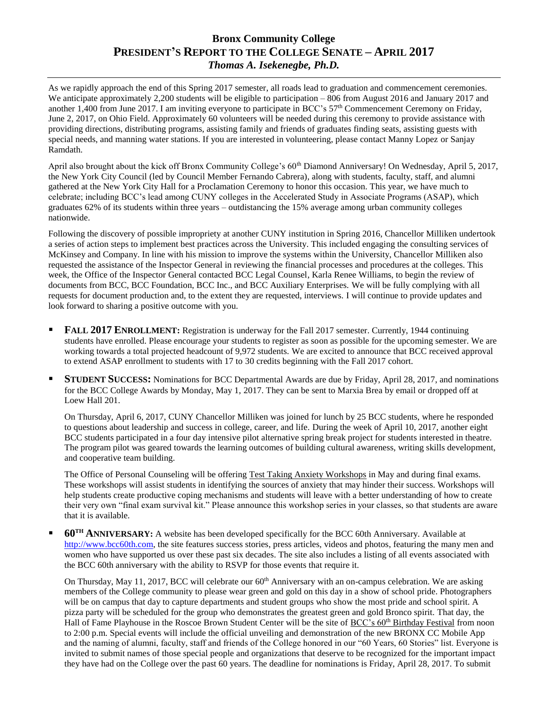## **Bronx Community College PRESIDENT'S REPORT TO THE COLLEGE SENATE – APRIL 2017** *Thomas A. Isekenegbe, Ph.D.*

As we rapidly approach the end of this Spring 2017 semester, all roads lead to graduation and commencement ceremonies. We anticipate approximately 2,200 students will be eligible to participation – 806 from August 2016 and January 2017 and another 1,400 from June 2017. I am inviting everyone to participate in BCC's  $57<sup>th</sup>$  Commencement Ceremony on Friday, June 2, 2017, on Ohio Field. Approximately 60 volunteers will be needed during this ceremony to provide assistance with providing directions, distributing programs, assisting family and friends of graduates finding seats, assisting guests with special needs, and manning water stations. If you are interested in volunteering, please contact Manny Lopez or Sanjay Ramdath.

April also brought about the kick off Bronx Community College's 60<sup>th</sup> Diamond Anniversary! On Wednesday, April 5, 2017, the New York City Council (led by Council Member Fernando Cabrera), along with students, faculty, staff, and alumni gathered at the New York City Hall for a Proclamation Ceremony to honor this occasion. This year, we have much to celebrate; including BCC's lead among CUNY colleges in the Accelerated Study in Associate Programs (ASAP), which graduates 62% of its students within three years – outdistancing the 15% average among urban community colleges nationwide.

Following the discovery of possible impropriety at another CUNY institution in Spring 2016, Chancellor Milliken undertook a series of action steps to implement best practices across the University. This included engaging the consulting services of McKinsey and Company. In line with his mission to improve the systems within the University, Chancellor Milliken also requested the assistance of the Inspector General in reviewing the financial processes and procedures at the colleges. This week, the Office of the Inspector General contacted BCC Legal Counsel, Karla Renee Williams, to begin the review of documents from BCC, BCC Foundation, BCC Inc., and BCC Auxiliary Enterprises. We will be fully complying with all requests for document production and, to the extent they are requested, interviews. I will continue to provide updates and look forward to sharing a positive outcome with you.

- **FALL 2017 <b>ENROLLMENT**: Registration is underway for the Fall 2017 semester. Currently, 1944 continuing students have enrolled. Please encourage your students to register as soon as possible for the upcoming semester. We are working towards a total projected headcount of 9,972 students. We are excited to announce that BCC received approval to extend ASAP enrollment to students with 17 to 30 credits beginning with the Fall 2017 cohort.
- **STUDENT SUCCESS:** Nominations for BCC Departmental Awards are due by Friday, April 28, 2017, and nominations for the BCC College Awards by Monday, May 1, 2017. They can be sent to Marxia Brea by email or dropped off at Loew Hall 201.

On Thursday, April 6, 2017, CUNY Chancellor Milliken was joined for lunch by 25 BCC students, where he responded to questions about leadership and success in college, career, and life. During the week of April 10, 2017, another eight BCC students participated in a four day intensive pilot alternative spring break project for students interested in theatre. The program pilot was geared towards the learning outcomes of building cultural awareness, writing skills development, and cooperative team building.

The Office of Personal Counseling will be offering Test Taking Anxiety Workshops in May and during final exams. These workshops will assist students in identifying the sources of anxiety that may hinder their success. Workshops will help students create productive coping mechanisms and students will leave with a better understanding of how to create their very own "final exam survival kit." Please announce this workshop series in your classes, so that students are aware that it is available.

 **60TH ANNIVERSARY:** A website has been developed specifically for the BCC 60th Anniversary. Available at [http://www.bcc60th.com,](http://www.bcc60th.com/) the site features success stories, press articles, videos and photos, featuring the many men and women who have supported us over these past six decades. The site also includes a listing of all events associated with the BCC 60th anniversary with the ability to RSVP for those events that require it.

On Thursday, May 11, 2017, BCC will celebrate our  $60<sup>th</sup>$  Anniversary with an on-campus celebration. We are asking members of the College community to please wear green and gold on this day in a show of school pride. Photographers will be on campus that day to capture departments and student groups who show the most pride and school spirit. A pizza party will be scheduled for the group who demonstrates the greatest green and gold Bronco spirit. That day, the Hall of Fame Playhouse in the Roscoe Brown Student Center will be the site of BCC's 60<sup>th</sup> Birthday Festival from noon to 2:00 p.m. Special events will include the official unveiling and demonstration of the new BRONX CC Mobile App and the naming of alumni, faculty, staff and friends of the College honored in our "60 Years, 60 Stories" list. Everyone is invited to submit names of those special people and organizations that deserve to be recognized for the important impact they have had on the College over the past 60 years. The deadline for nominations is Friday, April 28, 2017. To submit